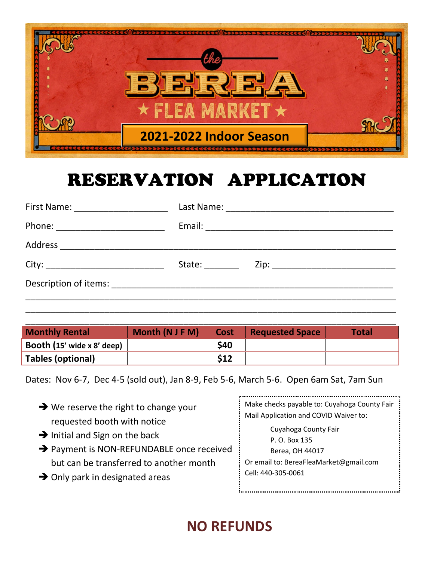

# RESERVATION APPLICATION

| First Name: ______________________ |        |
|------------------------------------|--------|
| Phone: ___________________________ |        |
|                                    |        |
|                                    | State: |
|                                    |        |

| <b>Monthly Rental</b>      | Month (N J F M) | Cost | <b>Requested Space</b> | <b>Total</b> |
|----------------------------|-----------------|------|------------------------|--------------|
| Booth (15' wide x 8' deep) |                 | \$40 |                        |              |
| Tables (optional)          |                 | \$12 |                        |              |

\_\_\_\_\_\_\_\_\_\_\_\_\_\_\_\_\_\_\_\_\_\_\_\_\_\_\_\_\_\_\_\_\_\_\_\_\_\_\_\_\_\_\_\_\_\_\_\_\_\_\_\_\_\_\_\_\_\_\_\_\_\_\_\_\_\_\_\_\_\_\_\_\_\_\_

Dates: Nov 6-7, Dec 4-5 (sold out), Jan 8-9, Feb 5-6, March 5-6. Open 6am Sat, 7am Sun

| $\rightarrow$ We reserve the right to change your<br>requested booth with notice<br>$\rightarrow$ Initial and Sign on the back<br>→ Payment is NON-REFUNDABLE once received<br>but can be transferred to another month<br>$\rightarrow$ Only park in designated areas | Make checks payable to: Cuyahoga County Fair<br>Mail Application and COVID Waiver to:<br>Cuyahoga County Fair<br>P. O. Box 135<br>Berea, OH 44017<br>Or email to: BereaFleaMarket@gmail.com<br>Cell: 440-305-0061 |
|-----------------------------------------------------------------------------------------------------------------------------------------------------------------------------------------------------------------------------------------------------------------------|-------------------------------------------------------------------------------------------------------------------------------------------------------------------------------------------------------------------|
|-----------------------------------------------------------------------------------------------------------------------------------------------------------------------------------------------------------------------------------------------------------------------|-------------------------------------------------------------------------------------------------------------------------------------------------------------------------------------------------------------------|

## **NO REFUNDS**